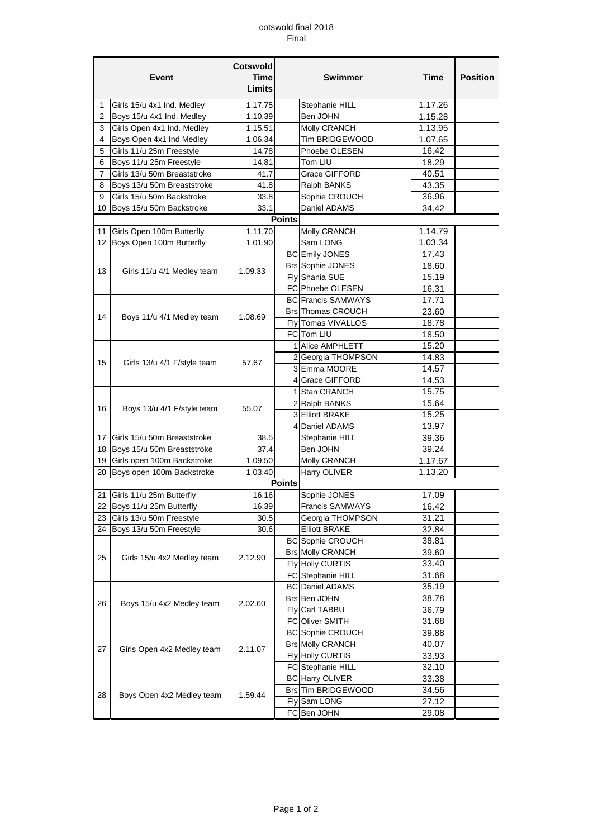## cotswold final 2018 Final

| Limits<br>Girls 15/u 4x1 Ind. Medley<br>1.17.75<br>Stephanie HILL<br>1.17.26<br>1<br>1.15.28<br>2<br>Boys 15/u 4x1 Ind. Medley<br>1.10.39<br>Ben JOHN<br>1.13.95<br>3<br>Girls Open 4x1 Ind. Medley<br>1.15.51<br>Molly CRANCH<br>Tim BRIDGEWOOD<br>Boys Open 4x1 Ind Medley<br>1.06.34<br>1.07.65<br>4<br>Girls 11/u 25m Freestyle<br>5<br>14.78<br>Phoebe OLESEN<br>16.42<br>18.29<br>6<br>Boys 11/u 25m Freestyle<br>14.81<br>Tom LIU<br>Girls 13/u 50m Breaststroke<br>40.51<br>41.7<br>Grace GIFFORD<br>7<br>41.8<br>8<br>Boys 13/u 50m Breaststroke<br>43.35<br>Ralph BANKS<br>Girls 15/u 50m Backstroke<br>33.8<br>Sophie CROUCH<br>36.96<br>9<br>34.42<br>33.1<br>Daniel ADAMS<br>10 Boys 15/u 50m Backstroke<br><b>Points</b><br>1.11.70<br>Girls Open 100m Butterfly<br>Molly CRANCH<br>1.14.79<br>11<br>Boys Open 100m Butterfly<br>12<br>Sam LONG<br>1.03.34<br>1.01.90<br><b>BC</b> Emily JONES<br>17.43<br>Brs Sophie JONES<br>18.60<br>13<br>1.09.33<br>Girls 11/u 4/1 Medley team<br>Fly Shania SUE<br>15.19<br>16.31<br>FC Phoebe OLESEN<br>17.71<br><b>BC Francis SAMWAYS</b><br><b>Brs</b> Thomas CROUCH<br>23.60<br>14<br>Boys 11/u 4/1 Medley team<br>1.08.69<br>Fly Tomas VIVALLOS<br>18.78<br>FC Tom LIU<br>18.50<br>1 Alice AMPHLETT<br>15.20<br>2 Georgia THOMPSON<br>14.83<br>15<br>57.67<br>Girls 13/u 4/1 F/style team<br>3 Emma MOORE<br>14.57<br>4 Grace GIFFORD<br>14.53<br>1 Stan CRANCH<br>15.75<br>2 Ralph BANKS<br>15.64<br>16<br>Boys 13/u 4/1 F/style team<br>55.07<br>3 Elliott BRAKE<br>15.25<br>13.97<br>4 Daniel ADAMS<br>Girls 15/u 50m Breaststroke<br>38.5<br>39.36<br>17<br>Stephanie HILL<br>Boys 15/u 50m Breaststroke<br>37.4<br>Ben JOHN<br>18<br>39.24<br>Girls open 100m Backstroke<br>1.17.67<br>1.09.50<br>Molly CRANCH<br>19<br>Harry OLIVER<br>20<br>Boys open 100m Backstroke<br>1.03.40<br>1.13.20<br><b>Points</b><br>16.16<br>Sophie JONES<br>17.09<br>21<br>Girls 11/u 25m Butterfly<br>22 Boys 11/u 25m Butterfly<br>16.39<br>Francis SAMWAYS<br>16.42<br>23 Girls 13/u 50m Freestyle<br>30.5<br>Georgia THOMPSON<br>31.21<br>24 Boys 13/u 50m Freestyle<br>30.6<br><b>Elliott BRAKE</b><br>32.84<br><b>BC</b> Sophie CROUCH<br>38.81<br><b>Brs Molly CRANCH</b><br>39.60<br>25<br>Girls 15/u 4x2 Medley team<br>2.12.90<br>Fly Holly CURTIS<br>33.40<br>FC Stephanie HILL<br>31.68<br>35.19<br><b>BC</b> Daniel ADAMS<br>Brs Ben JOHN<br>38.78<br>26<br>Boys 15/u 4x2 Medley team<br>2.02.60<br>Fly Carl TABBU<br>36.79<br>FC Oliver SMITH<br>31.68<br><b>BC</b> Sophie CROUCH<br>39.88<br><b>Brs Molly CRANCH</b><br>40.07<br>27<br>Girls Open 4x2 Medley team<br>2.11.07<br>Fly Holly CURTIS<br>33.93<br>FC Stephanie HILL<br>32.10 | Event |                           | <b>Cotswold</b><br><b>Time</b> | <b>Swimmer</b> |  | Time  | <b>Position</b> |
|-----------------------------------------------------------------------------------------------------------------------------------------------------------------------------------------------------------------------------------------------------------------------------------------------------------------------------------------------------------------------------------------------------------------------------------------------------------------------------------------------------------------------------------------------------------------------------------------------------------------------------------------------------------------------------------------------------------------------------------------------------------------------------------------------------------------------------------------------------------------------------------------------------------------------------------------------------------------------------------------------------------------------------------------------------------------------------------------------------------------------------------------------------------------------------------------------------------------------------------------------------------------------------------------------------------------------------------------------------------------------------------------------------------------------------------------------------------------------------------------------------------------------------------------------------------------------------------------------------------------------------------------------------------------------------------------------------------------------------------------------------------------------------------------------------------------------------------------------------------------------------------------------------------------------------------------------------------------------------------------------------------------------------------------------------------------------------------------------------------------------------------------------------------------------------------------------------------------------------------------------------------------------------------------------------------------------------------------------------------------------------------------------------------------------------------------------------------------------------------------------------------------------------------------------------------------------------------------------------------------------------------------------------------------------------------------------------|-------|---------------------------|--------------------------------|----------------|--|-------|-----------------|
|                                                                                                                                                                                                                                                                                                                                                                                                                                                                                                                                                                                                                                                                                                                                                                                                                                                                                                                                                                                                                                                                                                                                                                                                                                                                                                                                                                                                                                                                                                                                                                                                                                                                                                                                                                                                                                                                                                                                                                                                                                                                                                                                                                                                                                                                                                                                                                                                                                                                                                                                                                                                                                                                                                     |       |                           |                                |                |  |       |                 |
|                                                                                                                                                                                                                                                                                                                                                                                                                                                                                                                                                                                                                                                                                                                                                                                                                                                                                                                                                                                                                                                                                                                                                                                                                                                                                                                                                                                                                                                                                                                                                                                                                                                                                                                                                                                                                                                                                                                                                                                                                                                                                                                                                                                                                                                                                                                                                                                                                                                                                                                                                                                                                                                                                                     |       |                           |                                |                |  |       |                 |
|                                                                                                                                                                                                                                                                                                                                                                                                                                                                                                                                                                                                                                                                                                                                                                                                                                                                                                                                                                                                                                                                                                                                                                                                                                                                                                                                                                                                                                                                                                                                                                                                                                                                                                                                                                                                                                                                                                                                                                                                                                                                                                                                                                                                                                                                                                                                                                                                                                                                                                                                                                                                                                                                                                     |       |                           |                                |                |  |       |                 |
|                                                                                                                                                                                                                                                                                                                                                                                                                                                                                                                                                                                                                                                                                                                                                                                                                                                                                                                                                                                                                                                                                                                                                                                                                                                                                                                                                                                                                                                                                                                                                                                                                                                                                                                                                                                                                                                                                                                                                                                                                                                                                                                                                                                                                                                                                                                                                                                                                                                                                                                                                                                                                                                                                                     |       |                           |                                |                |  |       |                 |
|                                                                                                                                                                                                                                                                                                                                                                                                                                                                                                                                                                                                                                                                                                                                                                                                                                                                                                                                                                                                                                                                                                                                                                                                                                                                                                                                                                                                                                                                                                                                                                                                                                                                                                                                                                                                                                                                                                                                                                                                                                                                                                                                                                                                                                                                                                                                                                                                                                                                                                                                                                                                                                                                                                     |       |                           |                                |                |  |       |                 |
|                                                                                                                                                                                                                                                                                                                                                                                                                                                                                                                                                                                                                                                                                                                                                                                                                                                                                                                                                                                                                                                                                                                                                                                                                                                                                                                                                                                                                                                                                                                                                                                                                                                                                                                                                                                                                                                                                                                                                                                                                                                                                                                                                                                                                                                                                                                                                                                                                                                                                                                                                                                                                                                                                                     |       |                           |                                |                |  |       |                 |
|                                                                                                                                                                                                                                                                                                                                                                                                                                                                                                                                                                                                                                                                                                                                                                                                                                                                                                                                                                                                                                                                                                                                                                                                                                                                                                                                                                                                                                                                                                                                                                                                                                                                                                                                                                                                                                                                                                                                                                                                                                                                                                                                                                                                                                                                                                                                                                                                                                                                                                                                                                                                                                                                                                     |       |                           |                                |                |  |       |                 |
|                                                                                                                                                                                                                                                                                                                                                                                                                                                                                                                                                                                                                                                                                                                                                                                                                                                                                                                                                                                                                                                                                                                                                                                                                                                                                                                                                                                                                                                                                                                                                                                                                                                                                                                                                                                                                                                                                                                                                                                                                                                                                                                                                                                                                                                                                                                                                                                                                                                                                                                                                                                                                                                                                                     |       |                           |                                |                |  |       |                 |
|                                                                                                                                                                                                                                                                                                                                                                                                                                                                                                                                                                                                                                                                                                                                                                                                                                                                                                                                                                                                                                                                                                                                                                                                                                                                                                                                                                                                                                                                                                                                                                                                                                                                                                                                                                                                                                                                                                                                                                                                                                                                                                                                                                                                                                                                                                                                                                                                                                                                                                                                                                                                                                                                                                     |       |                           |                                |                |  |       |                 |
|                                                                                                                                                                                                                                                                                                                                                                                                                                                                                                                                                                                                                                                                                                                                                                                                                                                                                                                                                                                                                                                                                                                                                                                                                                                                                                                                                                                                                                                                                                                                                                                                                                                                                                                                                                                                                                                                                                                                                                                                                                                                                                                                                                                                                                                                                                                                                                                                                                                                                                                                                                                                                                                                                                     |       |                           |                                |                |  |       |                 |
|                                                                                                                                                                                                                                                                                                                                                                                                                                                                                                                                                                                                                                                                                                                                                                                                                                                                                                                                                                                                                                                                                                                                                                                                                                                                                                                                                                                                                                                                                                                                                                                                                                                                                                                                                                                                                                                                                                                                                                                                                                                                                                                                                                                                                                                                                                                                                                                                                                                                                                                                                                                                                                                                                                     |       |                           |                                |                |  |       |                 |
|                                                                                                                                                                                                                                                                                                                                                                                                                                                                                                                                                                                                                                                                                                                                                                                                                                                                                                                                                                                                                                                                                                                                                                                                                                                                                                                                                                                                                                                                                                                                                                                                                                                                                                                                                                                                                                                                                                                                                                                                                                                                                                                                                                                                                                                                                                                                                                                                                                                                                                                                                                                                                                                                                                     |       |                           |                                |                |  |       |                 |
|                                                                                                                                                                                                                                                                                                                                                                                                                                                                                                                                                                                                                                                                                                                                                                                                                                                                                                                                                                                                                                                                                                                                                                                                                                                                                                                                                                                                                                                                                                                                                                                                                                                                                                                                                                                                                                                                                                                                                                                                                                                                                                                                                                                                                                                                                                                                                                                                                                                                                                                                                                                                                                                                                                     |       |                           |                                |                |  |       |                 |
|                                                                                                                                                                                                                                                                                                                                                                                                                                                                                                                                                                                                                                                                                                                                                                                                                                                                                                                                                                                                                                                                                                                                                                                                                                                                                                                                                                                                                                                                                                                                                                                                                                                                                                                                                                                                                                                                                                                                                                                                                                                                                                                                                                                                                                                                                                                                                                                                                                                                                                                                                                                                                                                                                                     |       |                           |                                |                |  |       |                 |
|                                                                                                                                                                                                                                                                                                                                                                                                                                                                                                                                                                                                                                                                                                                                                                                                                                                                                                                                                                                                                                                                                                                                                                                                                                                                                                                                                                                                                                                                                                                                                                                                                                                                                                                                                                                                                                                                                                                                                                                                                                                                                                                                                                                                                                                                                                                                                                                                                                                                                                                                                                                                                                                                                                     |       |                           |                                |                |  |       |                 |
|                                                                                                                                                                                                                                                                                                                                                                                                                                                                                                                                                                                                                                                                                                                                                                                                                                                                                                                                                                                                                                                                                                                                                                                                                                                                                                                                                                                                                                                                                                                                                                                                                                                                                                                                                                                                                                                                                                                                                                                                                                                                                                                                                                                                                                                                                                                                                                                                                                                                                                                                                                                                                                                                                                     |       |                           |                                |                |  |       |                 |
|                                                                                                                                                                                                                                                                                                                                                                                                                                                                                                                                                                                                                                                                                                                                                                                                                                                                                                                                                                                                                                                                                                                                                                                                                                                                                                                                                                                                                                                                                                                                                                                                                                                                                                                                                                                                                                                                                                                                                                                                                                                                                                                                                                                                                                                                                                                                                                                                                                                                                                                                                                                                                                                                                                     |       |                           |                                |                |  |       |                 |
|                                                                                                                                                                                                                                                                                                                                                                                                                                                                                                                                                                                                                                                                                                                                                                                                                                                                                                                                                                                                                                                                                                                                                                                                                                                                                                                                                                                                                                                                                                                                                                                                                                                                                                                                                                                                                                                                                                                                                                                                                                                                                                                                                                                                                                                                                                                                                                                                                                                                                                                                                                                                                                                                                                     |       |                           |                                |                |  |       |                 |
|                                                                                                                                                                                                                                                                                                                                                                                                                                                                                                                                                                                                                                                                                                                                                                                                                                                                                                                                                                                                                                                                                                                                                                                                                                                                                                                                                                                                                                                                                                                                                                                                                                                                                                                                                                                                                                                                                                                                                                                                                                                                                                                                                                                                                                                                                                                                                                                                                                                                                                                                                                                                                                                                                                     |       |                           |                                |                |  |       |                 |
|                                                                                                                                                                                                                                                                                                                                                                                                                                                                                                                                                                                                                                                                                                                                                                                                                                                                                                                                                                                                                                                                                                                                                                                                                                                                                                                                                                                                                                                                                                                                                                                                                                                                                                                                                                                                                                                                                                                                                                                                                                                                                                                                                                                                                                                                                                                                                                                                                                                                                                                                                                                                                                                                                                     |       |                           |                                |                |  |       |                 |
|                                                                                                                                                                                                                                                                                                                                                                                                                                                                                                                                                                                                                                                                                                                                                                                                                                                                                                                                                                                                                                                                                                                                                                                                                                                                                                                                                                                                                                                                                                                                                                                                                                                                                                                                                                                                                                                                                                                                                                                                                                                                                                                                                                                                                                                                                                                                                                                                                                                                                                                                                                                                                                                                                                     |       |                           |                                |                |  |       |                 |
|                                                                                                                                                                                                                                                                                                                                                                                                                                                                                                                                                                                                                                                                                                                                                                                                                                                                                                                                                                                                                                                                                                                                                                                                                                                                                                                                                                                                                                                                                                                                                                                                                                                                                                                                                                                                                                                                                                                                                                                                                                                                                                                                                                                                                                                                                                                                                                                                                                                                                                                                                                                                                                                                                                     |       |                           |                                |                |  |       |                 |
|                                                                                                                                                                                                                                                                                                                                                                                                                                                                                                                                                                                                                                                                                                                                                                                                                                                                                                                                                                                                                                                                                                                                                                                                                                                                                                                                                                                                                                                                                                                                                                                                                                                                                                                                                                                                                                                                                                                                                                                                                                                                                                                                                                                                                                                                                                                                                                                                                                                                                                                                                                                                                                                                                                     |       |                           |                                |                |  |       |                 |
|                                                                                                                                                                                                                                                                                                                                                                                                                                                                                                                                                                                                                                                                                                                                                                                                                                                                                                                                                                                                                                                                                                                                                                                                                                                                                                                                                                                                                                                                                                                                                                                                                                                                                                                                                                                                                                                                                                                                                                                                                                                                                                                                                                                                                                                                                                                                                                                                                                                                                                                                                                                                                                                                                                     |       |                           |                                |                |  |       |                 |
|                                                                                                                                                                                                                                                                                                                                                                                                                                                                                                                                                                                                                                                                                                                                                                                                                                                                                                                                                                                                                                                                                                                                                                                                                                                                                                                                                                                                                                                                                                                                                                                                                                                                                                                                                                                                                                                                                                                                                                                                                                                                                                                                                                                                                                                                                                                                                                                                                                                                                                                                                                                                                                                                                                     |       |                           |                                |                |  |       |                 |
|                                                                                                                                                                                                                                                                                                                                                                                                                                                                                                                                                                                                                                                                                                                                                                                                                                                                                                                                                                                                                                                                                                                                                                                                                                                                                                                                                                                                                                                                                                                                                                                                                                                                                                                                                                                                                                                                                                                                                                                                                                                                                                                                                                                                                                                                                                                                                                                                                                                                                                                                                                                                                                                                                                     |       |                           |                                |                |  |       |                 |
|                                                                                                                                                                                                                                                                                                                                                                                                                                                                                                                                                                                                                                                                                                                                                                                                                                                                                                                                                                                                                                                                                                                                                                                                                                                                                                                                                                                                                                                                                                                                                                                                                                                                                                                                                                                                                                                                                                                                                                                                                                                                                                                                                                                                                                                                                                                                                                                                                                                                                                                                                                                                                                                                                                     |       |                           |                                |                |  |       |                 |
|                                                                                                                                                                                                                                                                                                                                                                                                                                                                                                                                                                                                                                                                                                                                                                                                                                                                                                                                                                                                                                                                                                                                                                                                                                                                                                                                                                                                                                                                                                                                                                                                                                                                                                                                                                                                                                                                                                                                                                                                                                                                                                                                                                                                                                                                                                                                                                                                                                                                                                                                                                                                                                                                                                     |       |                           |                                |                |  |       |                 |
|                                                                                                                                                                                                                                                                                                                                                                                                                                                                                                                                                                                                                                                                                                                                                                                                                                                                                                                                                                                                                                                                                                                                                                                                                                                                                                                                                                                                                                                                                                                                                                                                                                                                                                                                                                                                                                                                                                                                                                                                                                                                                                                                                                                                                                                                                                                                                                                                                                                                                                                                                                                                                                                                                                     |       |                           |                                |                |  |       |                 |
|                                                                                                                                                                                                                                                                                                                                                                                                                                                                                                                                                                                                                                                                                                                                                                                                                                                                                                                                                                                                                                                                                                                                                                                                                                                                                                                                                                                                                                                                                                                                                                                                                                                                                                                                                                                                                                                                                                                                                                                                                                                                                                                                                                                                                                                                                                                                                                                                                                                                                                                                                                                                                                                                                                     |       |                           |                                |                |  |       |                 |
|                                                                                                                                                                                                                                                                                                                                                                                                                                                                                                                                                                                                                                                                                                                                                                                                                                                                                                                                                                                                                                                                                                                                                                                                                                                                                                                                                                                                                                                                                                                                                                                                                                                                                                                                                                                                                                                                                                                                                                                                                                                                                                                                                                                                                                                                                                                                                                                                                                                                                                                                                                                                                                                                                                     |       |                           |                                |                |  |       |                 |
|                                                                                                                                                                                                                                                                                                                                                                                                                                                                                                                                                                                                                                                                                                                                                                                                                                                                                                                                                                                                                                                                                                                                                                                                                                                                                                                                                                                                                                                                                                                                                                                                                                                                                                                                                                                                                                                                                                                                                                                                                                                                                                                                                                                                                                                                                                                                                                                                                                                                                                                                                                                                                                                                                                     |       |                           |                                |                |  |       |                 |
|                                                                                                                                                                                                                                                                                                                                                                                                                                                                                                                                                                                                                                                                                                                                                                                                                                                                                                                                                                                                                                                                                                                                                                                                                                                                                                                                                                                                                                                                                                                                                                                                                                                                                                                                                                                                                                                                                                                                                                                                                                                                                                                                                                                                                                                                                                                                                                                                                                                                                                                                                                                                                                                                                                     |       |                           |                                |                |  |       |                 |
|                                                                                                                                                                                                                                                                                                                                                                                                                                                                                                                                                                                                                                                                                                                                                                                                                                                                                                                                                                                                                                                                                                                                                                                                                                                                                                                                                                                                                                                                                                                                                                                                                                                                                                                                                                                                                                                                                                                                                                                                                                                                                                                                                                                                                                                                                                                                                                                                                                                                                                                                                                                                                                                                                                     |       |                           |                                |                |  |       |                 |
|                                                                                                                                                                                                                                                                                                                                                                                                                                                                                                                                                                                                                                                                                                                                                                                                                                                                                                                                                                                                                                                                                                                                                                                                                                                                                                                                                                                                                                                                                                                                                                                                                                                                                                                                                                                                                                                                                                                                                                                                                                                                                                                                                                                                                                                                                                                                                                                                                                                                                                                                                                                                                                                                                                     |       |                           |                                |                |  |       |                 |
|                                                                                                                                                                                                                                                                                                                                                                                                                                                                                                                                                                                                                                                                                                                                                                                                                                                                                                                                                                                                                                                                                                                                                                                                                                                                                                                                                                                                                                                                                                                                                                                                                                                                                                                                                                                                                                                                                                                                                                                                                                                                                                                                                                                                                                                                                                                                                                                                                                                                                                                                                                                                                                                                                                     |       |                           |                                |                |  |       |                 |
|                                                                                                                                                                                                                                                                                                                                                                                                                                                                                                                                                                                                                                                                                                                                                                                                                                                                                                                                                                                                                                                                                                                                                                                                                                                                                                                                                                                                                                                                                                                                                                                                                                                                                                                                                                                                                                                                                                                                                                                                                                                                                                                                                                                                                                                                                                                                                                                                                                                                                                                                                                                                                                                                                                     |       |                           |                                |                |  |       |                 |
|                                                                                                                                                                                                                                                                                                                                                                                                                                                                                                                                                                                                                                                                                                                                                                                                                                                                                                                                                                                                                                                                                                                                                                                                                                                                                                                                                                                                                                                                                                                                                                                                                                                                                                                                                                                                                                                                                                                                                                                                                                                                                                                                                                                                                                                                                                                                                                                                                                                                                                                                                                                                                                                                                                     |       |                           |                                |                |  |       |                 |
|                                                                                                                                                                                                                                                                                                                                                                                                                                                                                                                                                                                                                                                                                                                                                                                                                                                                                                                                                                                                                                                                                                                                                                                                                                                                                                                                                                                                                                                                                                                                                                                                                                                                                                                                                                                                                                                                                                                                                                                                                                                                                                                                                                                                                                                                                                                                                                                                                                                                                                                                                                                                                                                                                                     |       |                           |                                |                |  |       |                 |
|                                                                                                                                                                                                                                                                                                                                                                                                                                                                                                                                                                                                                                                                                                                                                                                                                                                                                                                                                                                                                                                                                                                                                                                                                                                                                                                                                                                                                                                                                                                                                                                                                                                                                                                                                                                                                                                                                                                                                                                                                                                                                                                                                                                                                                                                                                                                                                                                                                                                                                                                                                                                                                                                                                     |       |                           |                                |                |  |       |                 |
|                                                                                                                                                                                                                                                                                                                                                                                                                                                                                                                                                                                                                                                                                                                                                                                                                                                                                                                                                                                                                                                                                                                                                                                                                                                                                                                                                                                                                                                                                                                                                                                                                                                                                                                                                                                                                                                                                                                                                                                                                                                                                                                                                                                                                                                                                                                                                                                                                                                                                                                                                                                                                                                                                                     |       |                           |                                |                |  |       |                 |
|                                                                                                                                                                                                                                                                                                                                                                                                                                                                                                                                                                                                                                                                                                                                                                                                                                                                                                                                                                                                                                                                                                                                                                                                                                                                                                                                                                                                                                                                                                                                                                                                                                                                                                                                                                                                                                                                                                                                                                                                                                                                                                                                                                                                                                                                                                                                                                                                                                                                                                                                                                                                                                                                                                     |       |                           |                                |                |  |       |                 |
|                                                                                                                                                                                                                                                                                                                                                                                                                                                                                                                                                                                                                                                                                                                                                                                                                                                                                                                                                                                                                                                                                                                                                                                                                                                                                                                                                                                                                                                                                                                                                                                                                                                                                                                                                                                                                                                                                                                                                                                                                                                                                                                                                                                                                                                                                                                                                                                                                                                                                                                                                                                                                                                                                                     |       |                           |                                |                |  |       |                 |
|                                                                                                                                                                                                                                                                                                                                                                                                                                                                                                                                                                                                                                                                                                                                                                                                                                                                                                                                                                                                                                                                                                                                                                                                                                                                                                                                                                                                                                                                                                                                                                                                                                                                                                                                                                                                                                                                                                                                                                                                                                                                                                                                                                                                                                                                                                                                                                                                                                                                                                                                                                                                                                                                                                     |       |                           |                                |                |  |       |                 |
|                                                                                                                                                                                                                                                                                                                                                                                                                                                                                                                                                                                                                                                                                                                                                                                                                                                                                                                                                                                                                                                                                                                                                                                                                                                                                                                                                                                                                                                                                                                                                                                                                                                                                                                                                                                                                                                                                                                                                                                                                                                                                                                                                                                                                                                                                                                                                                                                                                                                                                                                                                                                                                                                                                     |       |                           |                                |                |  |       |                 |
|                                                                                                                                                                                                                                                                                                                                                                                                                                                                                                                                                                                                                                                                                                                                                                                                                                                                                                                                                                                                                                                                                                                                                                                                                                                                                                                                                                                                                                                                                                                                                                                                                                                                                                                                                                                                                                                                                                                                                                                                                                                                                                                                                                                                                                                                                                                                                                                                                                                                                                                                                                                                                                                                                                     |       |                           |                                |                |  |       |                 |
|                                                                                                                                                                                                                                                                                                                                                                                                                                                                                                                                                                                                                                                                                                                                                                                                                                                                                                                                                                                                                                                                                                                                                                                                                                                                                                                                                                                                                                                                                                                                                                                                                                                                                                                                                                                                                                                                                                                                                                                                                                                                                                                                                                                                                                                                                                                                                                                                                                                                                                                                                                                                                                                                                                     |       |                           |                                |                |  |       |                 |
|                                                                                                                                                                                                                                                                                                                                                                                                                                                                                                                                                                                                                                                                                                                                                                                                                                                                                                                                                                                                                                                                                                                                                                                                                                                                                                                                                                                                                                                                                                                                                                                                                                                                                                                                                                                                                                                                                                                                                                                                                                                                                                                                                                                                                                                                                                                                                                                                                                                                                                                                                                                                                                                                                                     |       |                           |                                |                |  |       |                 |
|                                                                                                                                                                                                                                                                                                                                                                                                                                                                                                                                                                                                                                                                                                                                                                                                                                                                                                                                                                                                                                                                                                                                                                                                                                                                                                                                                                                                                                                                                                                                                                                                                                                                                                                                                                                                                                                                                                                                                                                                                                                                                                                                                                                                                                                                                                                                                                                                                                                                                                                                                                                                                                                                                                     |       |                           |                                |                |  |       |                 |
|                                                                                                                                                                                                                                                                                                                                                                                                                                                                                                                                                                                                                                                                                                                                                                                                                                                                                                                                                                                                                                                                                                                                                                                                                                                                                                                                                                                                                                                                                                                                                                                                                                                                                                                                                                                                                                                                                                                                                                                                                                                                                                                                                                                                                                                                                                                                                                                                                                                                                                                                                                                                                                                                                                     |       |                           |                                |                |  |       |                 |
|                                                                                                                                                                                                                                                                                                                                                                                                                                                                                                                                                                                                                                                                                                                                                                                                                                                                                                                                                                                                                                                                                                                                                                                                                                                                                                                                                                                                                                                                                                                                                                                                                                                                                                                                                                                                                                                                                                                                                                                                                                                                                                                                                                                                                                                                                                                                                                                                                                                                                                                                                                                                                                                                                                     |       |                           |                                |                |  |       |                 |
| <b>BC</b> Harry OLIVER                                                                                                                                                                                                                                                                                                                                                                                                                                                                                                                                                                                                                                                                                                                                                                                                                                                                                                                                                                                                                                                                                                                                                                                                                                                                                                                                                                                                                                                                                                                                                                                                                                                                                                                                                                                                                                                                                                                                                                                                                                                                                                                                                                                                                                                                                                                                                                                                                                                                                                                                                                                                                                                                              | 28    | Boys Open 4x2 Medley team | 1.59.44                        |                |  | 33.38 |                 |
| Brs Tim BRIDGEWOOD<br>34.56                                                                                                                                                                                                                                                                                                                                                                                                                                                                                                                                                                                                                                                                                                                                                                                                                                                                                                                                                                                                                                                                                                                                                                                                                                                                                                                                                                                                                                                                                                                                                                                                                                                                                                                                                                                                                                                                                                                                                                                                                                                                                                                                                                                                                                                                                                                                                                                                                                                                                                                                                                                                                                                                         |       |                           |                                |                |  |       |                 |
| Fly Sam LONG<br>27.12                                                                                                                                                                                                                                                                                                                                                                                                                                                                                                                                                                                                                                                                                                                                                                                                                                                                                                                                                                                                                                                                                                                                                                                                                                                                                                                                                                                                                                                                                                                                                                                                                                                                                                                                                                                                                                                                                                                                                                                                                                                                                                                                                                                                                                                                                                                                                                                                                                                                                                                                                                                                                                                                               |       |                           |                                |                |  |       |                 |
| FC Ben JOHN<br>29.08                                                                                                                                                                                                                                                                                                                                                                                                                                                                                                                                                                                                                                                                                                                                                                                                                                                                                                                                                                                                                                                                                                                                                                                                                                                                                                                                                                                                                                                                                                                                                                                                                                                                                                                                                                                                                                                                                                                                                                                                                                                                                                                                                                                                                                                                                                                                                                                                                                                                                                                                                                                                                                                                                |       |                           |                                |                |  |       |                 |